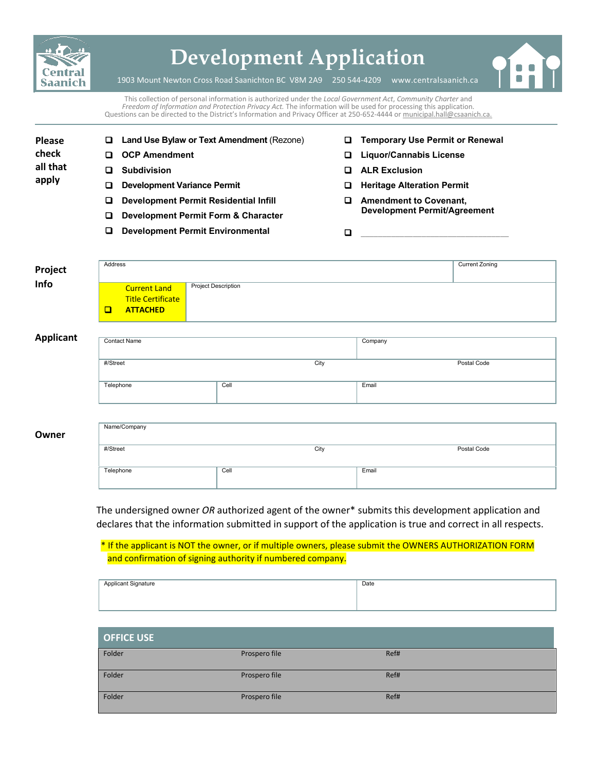

# **Development Application**

1903 Mount Newton Cross Road Saanichton BC V8M 2A9 250 544-4209 [www.centralsaanich.ca](http://www.csaanich.ca/)

This collection of personal information is authorized under the *Local Government Act*, *Community Charter* and *Freedom of Information and Protection Privacy Act.* The information will be used for processing this application. Questions can be directed to the District's Information and Privacy Officer at 250-652-4444 o[r municipal.hall@csaanich.ca.](mailto:municipal.hall@csaanich.ca)

- **Please check all that apply**
- **OCP Amendment Subdivision**
- **Development Variance Permit**
- **Development Permit Residential Infill**
- **Development Permit Form & Character**

**Land Use Bylaw or Text Amendment** (Rezone)

**Development Permit Environmental**

- **Temporary Use Permit or Renewal**
- **Liquor/Cannabis License**
- **ALR Exclusion**
- **Heritage Alteration Permit**
- **Amendment to Covenant, Development Permit/Agreement**

\_\_\_\_\_\_\_\_\_\_\_\_\_\_\_\_\_\_\_\_\_\_\_\_\_\_\_\_\_\_\_\_\_\_

| Project | Address |                                                 |                            | <b>Current Zoning</b> |
|---------|---------|-------------------------------------------------|----------------------------|-----------------------|
| Info    |         | <b>Current Land</b><br><b>Title Certificate</b> | <b>Project Description</b> |                       |
|         | $\Box$  | <b>ATTACHED</b>                                 |                            |                       |

#### **Applicant**

| <b>Contact Name</b> |      | Company     |  |
|---------------------|------|-------------|--|
| #/Street            | City | Postal Code |  |
| Telephone           | Cell | Email       |  |
|                     |      |             |  |

| Owner | Name/Company |      |             |
|-------|--------------|------|-------------|
|       | #/Street     | City | Postal Code |
|       | Telephone    | Cell | Email       |

The undersigned owner *OR* authorized agent of the owner\* submits this development application and declares that the information submitted in support of the application is true and correct in all respects.

\* If the applicant is NOT the owner, or if multiple owners, please submit the OWNERS AUTHORIZATION FORM and confirmation of signing authority if numbered company.

| Annlicant Signature<br>$\sim$ $\sim$ $\sim$ $\sim$<br> | Date |
|--------------------------------------------------------|------|
|                                                        |      |
|                                                        |      |

| <b>OFFICE USE</b> |               |      |
|-------------------|---------------|------|
| Folder            | Prospero file | Ref# |
| Folder            | Prospero file | Ref# |
| Folder            | Prospero file | Ref# |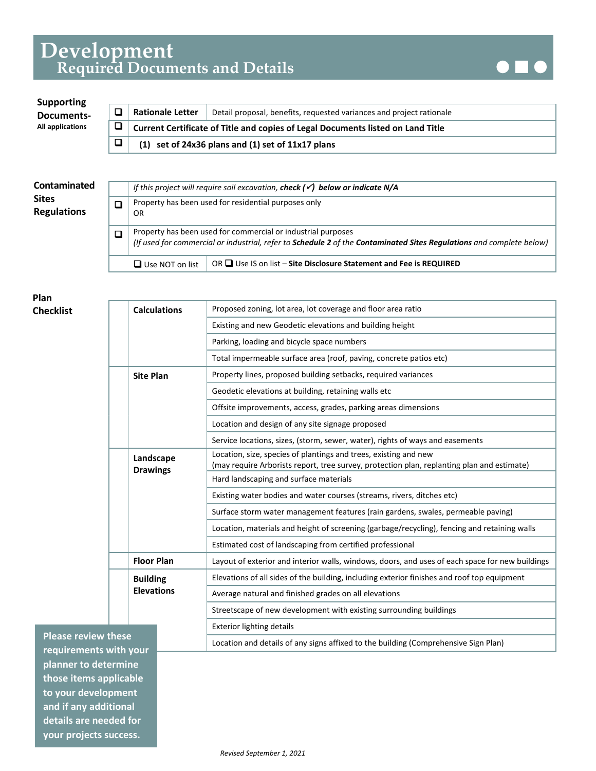## **Development Required Documents and Details**



#### **Rationale Letter** | Detail proposal, benefits, requested variances and project rationale **Current Certificate of Title and copies of Legal Documents listed on Land Title (1) set of 24x36 plans and (1) set of 11x17 plans Supporting Documents- All applications**

| Contaminated<br><b>Sites</b><br><b>Regulations</b> |   | OR.                    | If this project will require soil excavation, check $(\checkmark)$ below or indicate N/A<br>Property has been used for residential purposes only                                     |
|----------------------------------------------------|---|------------------------|--------------------------------------------------------------------------------------------------------------------------------------------------------------------------------------|
|                                                    | □ |                        | Property has been used for commercial or industrial purposes<br>(If used for commercial or industrial, refer to Schedule 2 of the Contaminated Sites Regulations and complete below) |
|                                                    |   | $\Box$ Use NOT on list | OR $\Box$ Use IS on list – Site Disclosure Statement and Fee is REQUIRED                                                                                                             |

**Plan Checklist**

|      | <b>Calculations</b>          | Proposed zoning, lot area, lot coverage and floor area ratio                                                                                                   |
|------|------------------------------|----------------------------------------------------------------------------------------------------------------------------------------------------------------|
|      |                              | Existing and new Geodetic elevations and building height                                                                                                       |
|      |                              | Parking, loading and bicycle space numbers                                                                                                                     |
|      |                              | Total impermeable surface area (roof, paving, concrete patios etc)                                                                                             |
|      | <b>Site Plan</b>             | Property lines, proposed building setbacks, required variances                                                                                                 |
|      |                              | Geodetic elevations at building, retaining walls etc                                                                                                           |
|      |                              | Offsite improvements, access, grades, parking areas dimensions                                                                                                 |
|      |                              | Location and design of any site signage proposed                                                                                                               |
|      |                              | Service locations, sizes, (storm, sewer, water), rights of ways and easements                                                                                  |
|      | Landscape<br><b>Drawings</b> | Location, size, species of plantings and trees, existing and new<br>(may require Arborists report, tree survey, protection plan, replanting plan and estimate) |
|      |                              | Hard landscaping and surface materials                                                                                                                         |
|      |                              | Existing water bodies and water courses (streams, rivers, ditches etc)                                                                                         |
|      |                              | Surface storm water management features (rain gardens, swales, permeable paving)                                                                               |
|      |                              | Location, materials and height of screening (garbage/recycling), fencing and retaining walls                                                                   |
|      |                              | Estimated cost of landscaping from certified professional                                                                                                      |
|      | <b>Floor Plan</b>            | Layout of exterior and interior walls, windows, doors, and uses of each space for new buildings                                                                |
|      | <b>Building</b>              | Elevations of all sides of the building, including exterior finishes and roof top equipment                                                                    |
|      | <b>Elevations</b>            | Average natural and finished grades on all elevations                                                                                                          |
|      |                              | Streetscape of new development with existing surrounding buildings                                                                                             |
|      |                              | <b>Exterior lighting details</b>                                                                                                                               |
| nese |                              | Location and details of any signs affixed to the building (Comprehensive Sign Plan)                                                                            |

**Please review the requirements with your planner to determine those items applicable to your development and if any additional details are needed for your projects success.**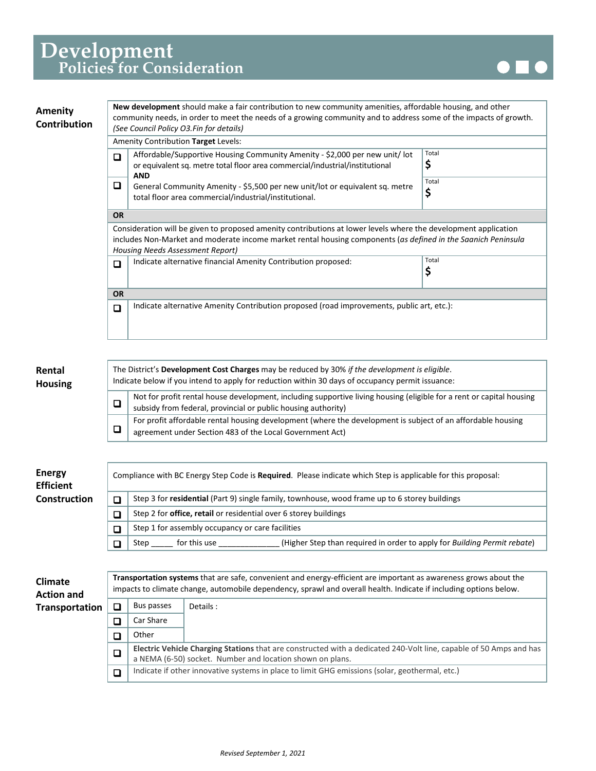

| Amenity<br>Contribution | New development should make a fair contribution to new community amenities, affordable housing, and other<br>community needs, in order to meet the needs of a growing community and to address some of the impacts of growth.<br>(See Council Policy O3.Fin for details) |                                                                                                                                                                           |             |  |  |  |
|-------------------------|--------------------------------------------------------------------------------------------------------------------------------------------------------------------------------------------------------------------------------------------------------------------------|---------------------------------------------------------------------------------------------------------------------------------------------------------------------------|-------------|--|--|--|
|                         | Amenity Contribution Target Levels:                                                                                                                                                                                                                                      |                                                                                                                                                                           |             |  |  |  |
|                         | $\Box$                                                                                                                                                                                                                                                                   | Affordable/Supportive Housing Community Amenity - \$2,000 per new unit/ lot<br>or equivalent sq. metre total floor area commercial/industrial/institutional<br><b>AND</b> | Total<br>Ş  |  |  |  |
|                         | o                                                                                                                                                                                                                                                                        | General Community Amenity - \$5,500 per new unit/lot or equivalent sq. metre<br>total floor area commercial/industrial/institutional.                                     | Total<br>\$ |  |  |  |
|                         | <b>OR</b>                                                                                                                                                                                                                                                                |                                                                                                                                                                           |             |  |  |  |
|                         | Consideration will be given to proposed amenity contributions at lower levels where the development application<br>includes Non-Market and moderate income market rental housing components (as defined in the Saanich Peninsula<br>Housing Needs Assessment Report)     |                                                                                                                                                                           |             |  |  |  |
|                         | $\Box$                                                                                                                                                                                                                                                                   | Indicate alternative financial Amenity Contribution proposed:                                                                                                             | Total<br>Ş  |  |  |  |
|                         | <b>OR</b>                                                                                                                                                                                                                                                                |                                                                                                                                                                           |             |  |  |  |
|                         | Indicate alternative Amenity Contribution proposed (road improvements, public art, etc.):<br>$\Box$                                                                                                                                                                      |                                                                                                                                                                           |             |  |  |  |

#### **Rental Housing**

| The District's Development Cost Charges may be reduced by 30% if the development is eligible.<br>Indicate below if you intend to apply for reduction within 30 days of occupancy permit issuance: |  |  |  |
|---------------------------------------------------------------------------------------------------------------------------------------------------------------------------------------------------|--|--|--|
| Not for profit rental house development, including supportive living housing (eligible for a rent or capital housing<br>subsidy from federal, provincial or public housing authority)             |  |  |  |
| For profit affordable rental housing development (where the development is subject of an affordable housing<br>agreement under Section 483 of the Local Government Act)                           |  |  |  |

#### **Energy Efficient Construction**

Compliance with BC Energy Step Code is **Required**. Please indicate which Step is applicable for this proposal:

|  |                                                                         | Step 3 for residential (Part 9) single family, townhouse, wood frame up to 6 storey buildings |  |
|--|-------------------------------------------------------------------------|-----------------------------------------------------------------------------------------------|--|
|  | Step 2 for <b>office, retail</b> or residential over 6 storey buildings |                                                                                               |  |
|  | Step 1 for assembly occupancy or care facilities                        |                                                                                               |  |
|  | for this use<br>Step                                                    | (Higher Step than required in order to apply for Building Permit rebate)                      |  |

| <b>Climate</b><br><b>Action and</b> | Transportation systems that are safe, convenient and energy-efficient are important as awareness grows about the<br>impacts to climate change, automobile dependency, sprawl and overall health. Indicate if including options below. |            |                                                                                                                                                                                 |  |  |
|-------------------------------------|---------------------------------------------------------------------------------------------------------------------------------------------------------------------------------------------------------------------------------------|------------|---------------------------------------------------------------------------------------------------------------------------------------------------------------------------------|--|--|
| <b>Transportation</b>               | □                                                                                                                                                                                                                                     | Bus passes | Details:                                                                                                                                                                        |  |  |
|                                     |                                                                                                                                                                                                                                       | Car Share  |                                                                                                                                                                                 |  |  |
|                                     |                                                                                                                                                                                                                                       | Other      |                                                                                                                                                                                 |  |  |
|                                     | □                                                                                                                                                                                                                                     |            | Electric Vehicle Charging Stations that are constructed with a dedicated 240-Volt line, capable of 50 Amps and has<br>a NEMA (6-50) socket. Number and location shown on plans. |  |  |
|                                     | П                                                                                                                                                                                                                                     |            | Indicate if other innovative systems in place to limit GHG emissions (solar, geothermal, etc.)                                                                                  |  |  |